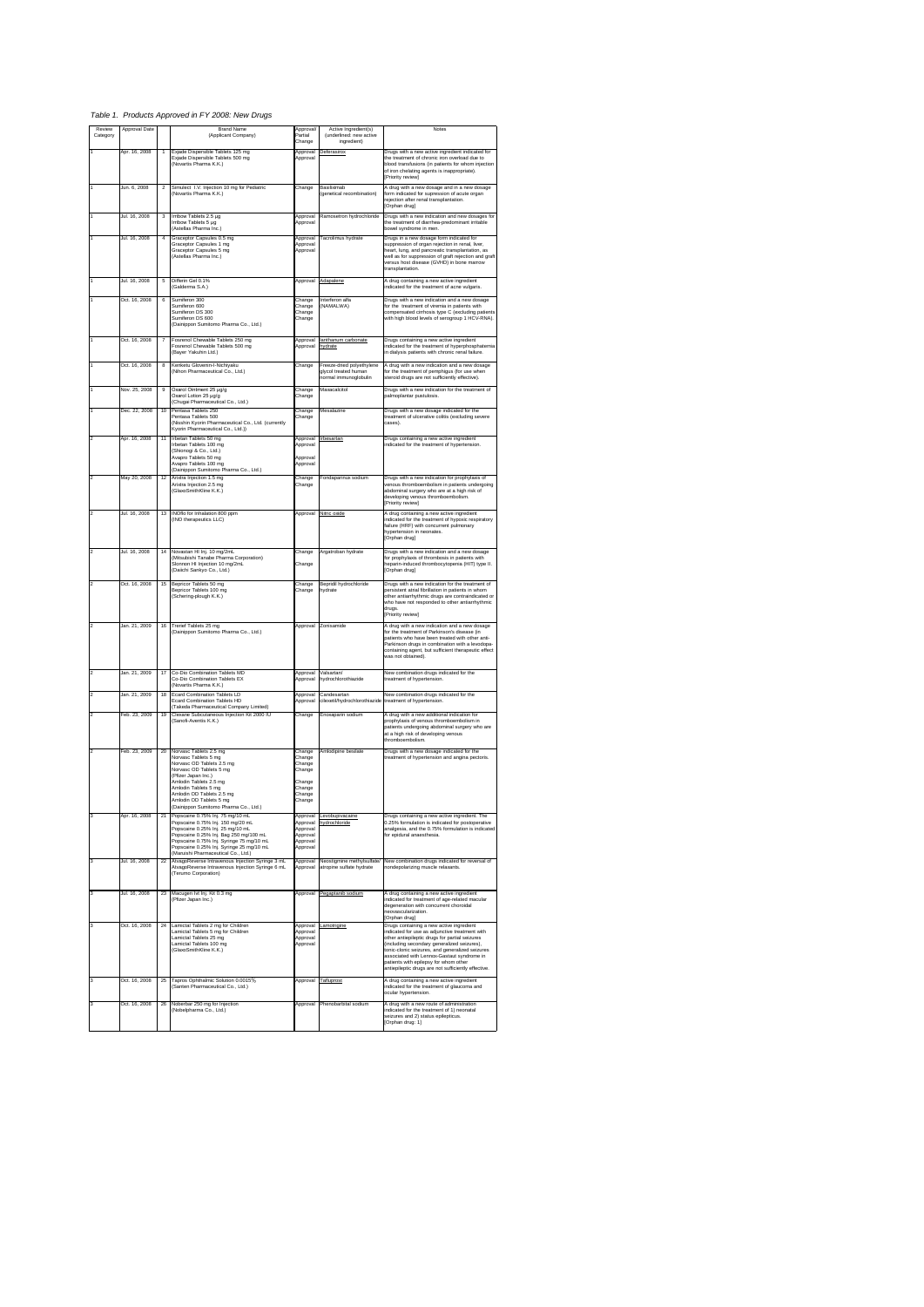*Table 1. Products Approved in FY 2008: New Drugs*

| Review                  | Approval Date |                | <b>Brand Name</b>                                                                                                                                                                                                                                                                     | Approval                                                                     |                                                                            | Notes                                                                                                                                                                                                                                                                                                                                                                                        |
|-------------------------|---------------|----------------|---------------------------------------------------------------------------------------------------------------------------------------------------------------------------------------------------------------------------------------------------------------------------------------|------------------------------------------------------------------------------|----------------------------------------------------------------------------|----------------------------------------------------------------------------------------------------------------------------------------------------------------------------------------------------------------------------------------------------------------------------------------------------------------------------------------------------------------------------------------------|
| Category                |               |                | (Applicant Company)                                                                                                                                                                                                                                                                   | Partial<br>Change                                                            | Active Ingredient(s)<br>(underlined: new active<br>ingredient)             |                                                                                                                                                                                                                                                                                                                                                                                              |
|                         | Apr. 16, 2008 | $\overline{1}$ | Exjade Dispersible Tablets 125 mg<br>Exjade Dispersible Tablets 500 mg<br>(Novartis Pharma K.K.)                                                                                                                                                                                      | Approval<br>Approval                                                         | Deferasirox                                                                | Drugs with a new active ingredient indicated for<br>the treatment of chronic iron overload due to<br>blood transfusions (in patients for whom injection<br>of iron chelating agents is inappropriate).<br>[Priority review]                                                                                                                                                                  |
|                         | Jun. 6, 2008  | $\overline{2}$ | Simulect I.V. Injection 10 mg for Pediatric<br>(Novartis Pharma K.K.)                                                                                                                                                                                                                 | Change                                                                       | Basiliximab<br>(genetical recombination)                                   | A drug with a new dosage and in a new dosage<br>form indicated for supression of acute organ<br>rejection after renal transplantation.<br>[Orphan drug]                                                                                                                                                                                                                                      |
|                         | Jul. 16, 2008 | 3              | Irribow Tablets 2.5 µg<br>Irribow Tablets 5 µg<br>(Astellas Pharma Inc.)                                                                                                                                                                                                              | Approval<br>Approval                                                         | Ramosetron hydrochloride                                                   | Drugs with a new indication and new dosages for<br>the treatment of diarrhea-predominant irritable<br>bowel syndrome in men.                                                                                                                                                                                                                                                                 |
|                         | Jul. 16, 2008 | $\overline{a}$ | Graceptor Capsules 0.5 mg<br>Graceptor Capsules 1 mg<br>Graceptor Capsules 5 mg<br>(Astellas Pharma Inc.)                                                                                                                                                                             | Approval<br>Approval<br>Approval                                             | Tacrolimus hydrate                                                         | Drugs in a new dosage form indicated for<br>suppression of organ rejection in renal, liver,<br>heart, lung, and pancreatic transplantation, as<br>well as for suppression of graft rejection and graft<br>versus host disease (GVHD) in bone marrow<br>transplantation.                                                                                                                      |
|                         | Jul. 16, 2008 | 5              | Differin Gel 0.1%<br>(Galderma S.A.)                                                                                                                                                                                                                                                  | Approval                                                                     | Adapalene                                                                  | A drug containing a new active ingredient<br>indicated for the treatment of acne vulgaris.                                                                                                                                                                                                                                                                                                   |
|                         | Oct. 16, 2008 | 6              | Sumiferon 300<br>Sumiferon 600<br>Sumiferon DS 300<br>Sumiferon DS 600<br>(Dainippon Sumitomo Pharma Co., Ltd.)                                                                                                                                                                       | Change<br>Change<br>Change<br>Change                                         | Interferon alfa<br>(NAMAI WA)                                              | Drugs with a new indication and a new dosage<br>for the treatment of viremia in patients with<br>compensated cirrhosis type C (excluding patients<br>with high blood levels of serogroup 1 HCV-RNA).                                                                                                                                                                                         |
|                         | Oct. 16, 2008 | 7              | Fosrenol Chewable Tablets 250 mg<br>Fosrenol Chewable Tablets 500 mg<br>(Bayer Yakuhin Ltd.)                                                                                                                                                                                          | Approval<br>Approval                                                         | lanthanum carbonate<br>hydrate                                             | Drugs containing a new active ingredient<br>indicated for the treatment of hyperphosphatemia<br>in dialysis patients with chronic renal failure.                                                                                                                                                                                                                                             |
|                         | Oct. 16, 2008 | 8              | Kenketu Glovenin-l-Nichiyaku<br>(Nihon Pharmaceutical Co., Ltd.)                                                                                                                                                                                                                      | Change                                                                       | Freeze-dried polyethylene<br>glycol treated human<br>normal immunoglobulin | A drug with a new indication and a new dosage<br>for the treatment of pemphigus (for use when<br>steroid drugs are not sufficiently effective).                                                                                                                                                                                                                                              |
|                         | Nov. 25, 2008 | 9              | Oxarol Ointment 25 µg/g<br>Oxarol Lotion 25 µg/g<br>(Chugai Pharmaceutical Co., Ltd.)                                                                                                                                                                                                 | Change<br>Change                                                             | Maxacalcitol                                                               | Drugs with a new indication for the treatment of<br>palmoplantar pustulosis.                                                                                                                                                                                                                                                                                                                 |
|                         | Dec. 22, 2008 | 10             | Pentasa Tablets 250<br>Pentasa Tablets 500<br>(Nisshin Kyorin Pharmaceutical Co., Ltd. (currently<br>Kyorin Pharmaceutical Co., Ltd.))                                                                                                                                                | Change<br>Change                                                             | Mesalazine                                                                 | Drugs with a new dosage indicated for the<br>treatment of ulcerative colitis (excluding severe<br>cases).                                                                                                                                                                                                                                                                                    |
|                         | Apr. 16, 2008 | 11             | Irbetan Tablets 50 mg<br>Irbetan Tablets 100 mg<br>(Shionogi & Co., Ltd.)<br>Avapro Tablets 50 mg<br>Avapro Tablets 100 mg<br>(Dainippon Sumitomo Pharma Co., Ltd.)                                                                                                                   | Annroval<br>Approval<br>Approval<br>Approval                                 | Irbesartan                                                                 | Drugs containing a new active ingredient<br>indicated for the treatment of hypertension.                                                                                                                                                                                                                                                                                                     |
|                         | May 20, 2008  | 12             | Arixtra Injection 1.5 mg<br>Arixtra Injection 2.5 mg<br>(GlaxoSmithKline K.K.)                                                                                                                                                                                                        | Change<br>Change                                                             | Fondaparinux sodium                                                        | Drugs with a new indication for prophylaxis of<br>venous thromboembolism in patients undergoing<br>abdominal surgery who are at a high risk of<br>developing venous thromboembolism.<br>[Priority review]                                                                                                                                                                                    |
|                         | Jul. 16, 2008 | 13             | INOflo for Inhalation 800 ppm<br>(INO therapeutics LLC)                                                                                                                                                                                                                               | Approval                                                                     | Nitric oxide                                                               | A drug containing a new active ingredient<br>indicated for the treatment of hypoxic respiratory<br>failure (HRF) with concurrent pulmonary<br>hypertension in neonates.<br>[Orphan drug]                                                                                                                                                                                                     |
|                         | Jul. 16, 2008 | 14             | Novastan HI Inj. 10 mg/2mL<br>(Mitsubishi Tanabe Pharma Corporation)<br>.<br>Slonnon HI Injection 10 mg/2mL<br>(Daiichi Sankyo Co., Ltd.)                                                                                                                                             | Change<br>Change                                                             | Argatroban hydrate                                                         | Drugs with a new indication and a new dosage<br>for prophylaxis of thrombosis in patients with<br>heparin-induced thrombocytopenia (HIT) type II.<br>[Orphan drug]                                                                                                                                                                                                                           |
|                         | Oct. 16, 2008 | 15             | Bepricor Tablets 50 mg<br>Bepricor Tablets 100 mg<br>(Schering-plough K.K.)                                                                                                                                                                                                           | Change<br>Change                                                             | Bepridil hydrochloride<br>hydrate                                          | Drugs with a new indication for the treatment of<br>persistent atrial fibrillation in patients in whom<br>other antiarrhythmic drugs are contraindicated or<br>who have not responded to other antiarrhythmic<br>drugs.<br>[Priority review]                                                                                                                                                 |
|                         | Jan. 21, 2009 | 16             | Trenef Tablets 25 mg<br>(Dainippon Sumitomo Pharma Co., Ltd.)                                                                                                                                                                                                                         | Approval                                                                     | Zonisamide                                                                 | A drug with a new indication and a new dosage<br>for the treatment of Parkinson's disease (in<br>patients who have been treated with other anti-<br>.<br>Parkinson drugs in combination with a levodopa-<br>containing agent, but sufficient therapeutic effect<br>was not obtained).                                                                                                        |
|                         | Jan. 21, 2009 | 17             | Co-Dio Combination Tablets MD<br>Co-Dio Combination Tablets EX<br>(Novartis Pharma K.K.)                                                                                                                                                                                              | Approval<br>Approval                                                         | Valsartan/<br>hydrochlorothiazide                                          | New combination drugs indicated for the<br>treatment of hypertension.                                                                                                                                                                                                                                                                                                                        |
|                         | Jan. 21, 2009 | 18             | <b>Ecard Combination Tablets LD</b><br>Ecard Combination Tablets HD                                                                                                                                                                                                                   | Approval<br>Approval                                                         | Candesartan<br>cilexetil/hydrochlorothiazide                               | New combination drugs indicated for the<br>treatment of hypertension.                                                                                                                                                                                                                                                                                                                        |
|                         | Feb. 23, 2009 | 19             | (Takeda Pharmaceutical Company Limited)<br>Clexane Subcutaneous Injection Kit 2000 IU<br>Sanofi-Aventis K.K.)                                                                                                                                                                         | Change                                                                       | Enoxaparin sodium                                                          | A drug with a new additional indication for<br>prophylaxis of venous thromboembolism in<br>patients undergoing abdominal surgery who are<br>at a high risk of developing venous<br>thromboembolism                                                                                                                                                                                           |
|                         | Feb. 23, 2009 | 20             | Norvasc Tablets 2.5 mg<br>Norvasc Tablets 5 mg<br>Norvasc OD Tablets 2.5 mg<br>Norvasc OD Tablets 5 mg<br>(Pfizer Japan Inc.)<br>Amlodin Tablets 2.5 mg<br>-<br>Amlodin Tablets 5 mg<br>Amlodin OD Tablets 2.5 mg<br>Amlodin OD Tablets 5 mg<br>(Dainippon Sumitomo Pharma Co., Ltd.) | Change<br>Change<br>Change<br>Change<br>Change<br>Change<br>Change<br>Change | Amlodipine besilate                                                        | Drugs with a new dosage indicated for the<br>treatment of hypertension and angina pectoris.                                                                                                                                                                                                                                                                                                  |
|                         | Apr. 16, 2008 | 21             | Popscaine 0.75% Inj. 75 mg/10 mL<br>Popscaine 0.75% Inj. 150 mg/20 mL<br>Popscaine 0.25% Inj. 25 mg/10 mL<br>Popscaine 0.25% Inj. Bag 250 mg/100 mL<br>Popscaine 0.75% Inj. Syringe 75 mg/10 mL<br>Popscaine 0.25% Inj. Syringe 25 mg/10 mL<br>(Maruishi Pharmaceutical Co., Ltd.)    | Approval<br>Approval<br>Approval<br>Approval<br>Approval                     | Approval Levobupivacaine<br>hydrochloride                                  | Drugs containing a new active ingredient. The<br>0.25% formulation is indicated for postoperative<br>analgesia, and the 0.75% formulation is indicated<br>for epidural anaesthesia.                                                                                                                                                                                                          |
| 3                       | Jul. 16, 2008 | 22             | AtvagoReverse Intravenous Injection Syringe 3 mL<br>AtvagoReverse Intravenous Injection Syringe 6 mL<br>(Terumo Corporation)                                                                                                                                                          | Approval<br>Approval                                                         | Neostigmine methylsulfate/<br>atropine sulfate hydrate                     | New combination drugs indicated for reversal of<br>nondepolarizing muscle relaxants.                                                                                                                                                                                                                                                                                                         |
| $\overline{\mathbf{3}}$ | Jul. 16, 2008 | 23             | Macugen Ivt Inj. Kit 0.3 mg<br>(Pfizer Japan Inc.)                                                                                                                                                                                                                                    | Approval                                                                     | Pegaptanib sodium                                                          | A drug containing a new active ingredient<br>indicated for treatment of age-related macular<br>degeneration with concurrent choroidal<br>neovascularization.<br>Orphan drugl                                                                                                                                                                                                                 |
| 3                       | Oct. 16, 2008 | 24             | Lamictal Tablets 2 mg for Children<br>Lamictal Tablets 5 mg for Children<br>Lamictal Tablets 25 mg<br>Lamictal Tablets 100 mg<br>(GlaxoSmithKline K.K.)                                                                                                                               | Approval<br>Approval<br>Approval<br>Approval                                 | Lamotrigine                                                                | Drugs containing a new active ingredient<br>indicated for use as adjunctive treatment with<br>other antiepileptic drugs for partial seizures<br>(including secondary generalized seizures),<br>tonic-clonic seizures, and generalized seizures<br>associated with Lennox-Gastaut syndrome in<br>patients with epilepsy for whom other<br>antiepileptic drugs are not sufficiently effective. |
|                         | Oct. 16, 2008 | 25             | Tapros Ophthalmic Solution 0.0015%<br>(Santen Pharmaceutical Co., Ltd.)                                                                                                                                                                                                               |                                                                              | Approval Tafluprost                                                        | A drug containing a new active ingredient<br>indicated for the treatment of glaucoma and<br>ocular hypertension.                                                                                                                                                                                                                                                                             |
|                         | Oct. 16, 2008 | 26             | Noberbar 250 mg for Injection<br>(Nobelpharma Co., Ltd.)                                                                                                                                                                                                                              | Approval                                                                     | Phenobarbital sodium                                                       | A drug with a new route of administration<br>indicated for the treatment of 1) neonatal<br>seizures and 2) status epilepticus.<br>Orphan drug: 1]                                                                                                                                                                                                                                            |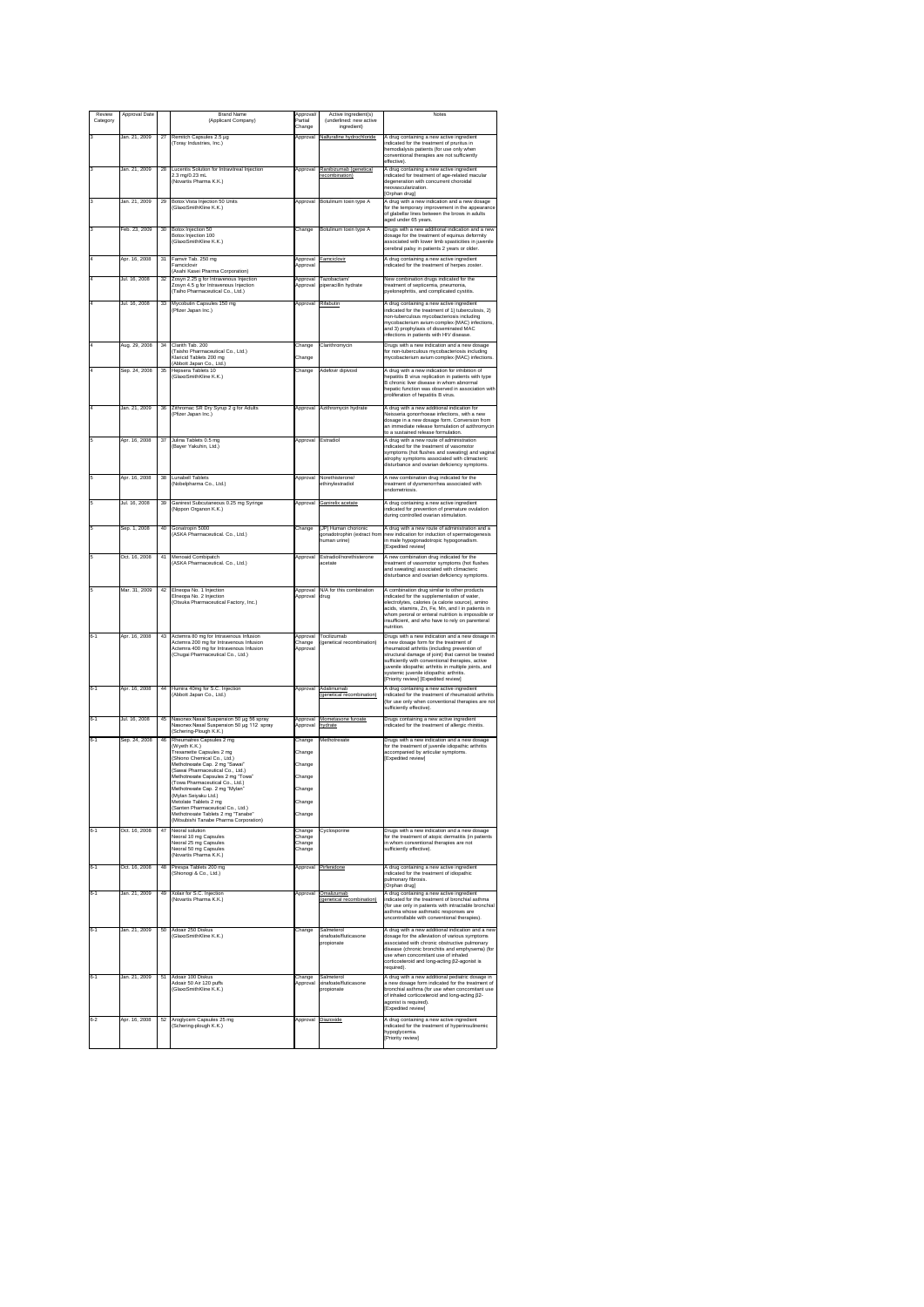| Review   | Approval Date |                 | <b>Brand Name</b>                                                                                                                                                                                                                                                                                                                                                                                                            | Approval                                                 | Active Ingredient(s)                                                | Notes                                                                                                                                                                                                                                                                                                                                                                                            |
|----------|---------------|-----------------|------------------------------------------------------------------------------------------------------------------------------------------------------------------------------------------------------------------------------------------------------------------------------------------------------------------------------------------------------------------------------------------------------------------------------|----------------------------------------------------------|---------------------------------------------------------------------|--------------------------------------------------------------------------------------------------------------------------------------------------------------------------------------------------------------------------------------------------------------------------------------------------------------------------------------------------------------------------------------------------|
| Category |               |                 | (Applicant Company)                                                                                                                                                                                                                                                                                                                                                                                                          | Partial<br>Change                                        | (underlined: new active<br>ingredient)                              |                                                                                                                                                                                                                                                                                                                                                                                                  |
|          | Jan. 21, 2009 | 27              | Remitch Capsules 2.5 ug                                                                                                                                                                                                                                                                                                                                                                                                      | Approval                                                 | Nalfurafine hydrochloride                                           | A drug containing a new active ingredient                                                                                                                                                                                                                                                                                                                                                        |
|          |               |                 | Toray Industries, Inc.)                                                                                                                                                                                                                                                                                                                                                                                                      |                                                          |                                                                     | indicated for the treatment of pruritus in<br>hemodialysis patients (for use only when<br>conventional therapies are not sufficiently<br>effective).                                                                                                                                                                                                                                             |
|          | Jan. 21, 2009 | 28              | Lucentis Solution for Intravitreal Injection<br>2.3 mg/0.23 mL<br>Novartis Pharma K.K.)                                                                                                                                                                                                                                                                                                                                      | Approval                                                 | Ranibizumab (genetical<br>recombination)                            | A drug containing a new active ingredient<br>indicated for treatment of age-related macular<br>degeneration with concurrent choroidal<br>neovascularization.                                                                                                                                                                                                                                     |
|          | Jan. 21, 2009 | 29              | Botox Vista Injection 50 Units                                                                                                                                                                                                                                                                                                                                                                                               | Approval                                                 | Botulinum toxin type A                                              | [Orphan drug]<br>A drug with a new indication and a new dosage                                                                                                                                                                                                                                                                                                                                   |
|          |               |                 | GlaxoSmithKline K K \                                                                                                                                                                                                                                                                                                                                                                                                        |                                                          |                                                                     | for the temporary improvement in the appearance<br>of glabellar lines between the brows in adults<br>aged under 65 years.                                                                                                                                                                                                                                                                        |
|          | eb. 23, 2009  | 30              | Botox Injection 50<br>Botox Injection 100<br>(GlaxoSmithKline K.K.)                                                                                                                                                                                                                                                                                                                                                          | Change                                                   | Botulinum toxin type A                                              | Drugs with a new additional indication and a nev<br>dosage for the treatment of equinus deformity<br>associated with lower limb spasticities in juvenile<br>cerebral palsy in patients 2 years or older.                                                                                                                                                                                         |
|          | Apr. 16, 2008 | 31              | Famvir Tab, 250 mg<br>amciclovin<br>(Asahi Kasei Pharma Corporation)                                                                                                                                                                                                                                                                                                                                                         | Approval<br>Approval                                     | Famciclovin                                                         | A drug containing a new active ingredient<br>indicated for the treatment of herpes zoster.                                                                                                                                                                                                                                                                                                       |
|          | Jul. 16, 2008 | $\overline{32}$ | Zosyn 2.25 g for Intravenous Injection<br>Zosyn 4.5 g for Intravenous Injection<br>(Taiho Pharmaceutical Co., Ltd.)                                                                                                                                                                                                                                                                                                          | Approval<br>Approval                                     | Tazobactam<br>piperacillin hydrate                                  | New combination drugs indicated for the<br>treatment of septicemia, pneumonia,<br>pyelonephritis, and complicated cystitis.                                                                                                                                                                                                                                                                      |
|          | Jul. 16, 2008 | 33              | Mycobutin Capsules 150 mg<br>(Pfizer Japan Inc.)                                                                                                                                                                                                                                                                                                                                                                             | Approval                                                 | Rifabutin                                                           | A drug containing a new active ingredient<br>indicated for the treatment of 1) tuberculosis, 2)<br>non-tuberculous mycobacteriosis including<br>mycobacterium avium complex (MAC) infections<br>and 3) prophylaxis of disseminated MAC<br>infections in patients with HIV disease.                                                                                                               |
|          | Aug. 29, 2008 | 34              | Clarith Tab. 200                                                                                                                                                                                                                                                                                                                                                                                                             | Change                                                   | Clarithromycin                                                      | Drugs with a new indication and a new dosage                                                                                                                                                                                                                                                                                                                                                     |
|          | Sep. 24, 2008 |                 | (Taisho Pharmaceutical Co., Ltd.)<br>Klaricid Tablets 200 mg<br>(Abbott Japan Co., Ltd.)                                                                                                                                                                                                                                                                                                                                     | Change<br>Change                                         |                                                                     | for non-tuberculous mycobacteriosis including<br>mycobacterium avium complex (MAC) infections<br>A drug with a new indication for inhibition of                                                                                                                                                                                                                                                  |
|          |               | 35              | Hepsera Tablets 10<br>(GlaxoSmithKline K.K.)                                                                                                                                                                                                                                                                                                                                                                                 |                                                          | Adefovir dipivoxil                                                  | hepatitis B virus replication in patients with type<br>B chronic liver disease in whom abnormal<br>hepatic function was observed in association with<br>proliferation of hepatitis B virus.                                                                                                                                                                                                      |
|          | Jan. 21, 2009 | 36              | Zithromac SR Dry Syrup 2 g for Adults<br>(Pfizer Japan Inc.)                                                                                                                                                                                                                                                                                                                                                                 | Approval                                                 | Azithromycin hydrate                                                | A drug with a new additional indication for<br>Neisseria gonorrhoeae infections, with a new<br>dosage in a new dosage form. Conversion from<br>an immediate release formulation of azithromycin<br>to a sustained release formulation.                                                                                                                                                           |
|          | Apr. 16, 2008 | 37              | Julina Tablets 0.5 mg<br>Bayer Yakuhin, Ltd.)                                                                                                                                                                                                                                                                                                                                                                                | Approval                                                 | Estradiol                                                           | A drug with a new route of administration<br>indicated for the treatment of vasomotor<br>symptoms (hot flushes and sweating) and vagina<br>atrophy symptoms associated with climacteric<br>disturbance and ovarian deficiency symptoms.                                                                                                                                                          |
|          | Apr. 16, 2008 | 38              | Lunabell Tablets<br>Nobelpharma Co., Ltd.)                                                                                                                                                                                                                                                                                                                                                                                   | Approval                                                 | Norethisterone.<br>ethinvlestradiol                                 | A new combination drug indicated for the<br>treatment of dysmenorrhea associated with<br>endometriosis                                                                                                                                                                                                                                                                                           |
|          | Jul. 16, 2008 | 39              | Ganirest Subcutaneous 0.25 mg Syringe<br>(Nippon Organon K.K.)                                                                                                                                                                                                                                                                                                                                                               | Approval                                                 | Ganirelix acetate                                                   | A drug containing a new active ingredient<br>indicated for prevention of premature ovulation<br>during controlled ovarian stimulation.                                                                                                                                                                                                                                                           |
|          | Sep. 1, 2008  | 40              | Gonatropin 5000<br>(ASKA Pharmaceutical, Co., Ltd.)                                                                                                                                                                                                                                                                                                                                                                          | Change                                                   | [JP] Human chorionic<br>gonadotrophin (extract from<br>human urine) | A drug with a new route of administration and a<br>new indication for induction of spermatogenesis<br>in male hypogonadotropic hypogonadism.<br>[Expedited review]                                                                                                                                                                                                                               |
|          | Oct. 16, 2008 | 41              | Menoaid Combipatch<br>(ASKA Pharmaceutical. Co., Ltd.)                                                                                                                                                                                                                                                                                                                                                                       | Approval                                                 | Estradiol/norethisterone<br>acetate                                 | A new combination drug indicated for the<br>treatment of vasomotor symptoms (hot flushes<br>and sweating) associated with climacteric<br>disturbance and ovarian deficiency symptoms.                                                                                                                                                                                                            |
|          | Mar. 31, 2009 | 42              | Elneopa No. 1 Injection<br>Elneopa No. 2 Injection<br>(Otsuka Pharmaceutical Factory, Inc.)                                                                                                                                                                                                                                                                                                                                  | Approval<br>Approval                                     | N/A for this combination<br>drug                                    | A combination drug similar to other products<br>indicated for the supplementation of water,<br>electrolytes, calories (a calorie source), amino<br>acids, vitamins, Zn. Fe. Mn. and I in patients in<br>whom peroral or enteral nutrition is impossible or<br>insufficient, and who have to rely on parenteral<br>nutrition.                                                                     |
| $6 - 1$  | Apr. 16, 2008 | 43              | Actemra 80 mg for Intravenous Infusion<br>Actemra 200 mg for Intravenous Infusion<br>Actemna 400 mg for Intravenous Infusion<br>(Chugai Pharmaceutical Co., Ltd.)                                                                                                                                                                                                                                                            | Approval<br>Change<br>Approval                           | Tocilizumab<br>(genetical recombination)                            | Drugs with a new indication and a new dosage in<br>a new dosage form for the treatment of<br>rheumatoid arthritis (including prevention of<br>structural damage of joint) that cannot be treated<br>sufficiently with conventional therapies, active<br>juvenile idiopathic arthritis in multiple joints, and<br>systemic juvenile idiopathic arthritis.<br>[Priority review] [Expedited review] |
| $6 - 1$  | Apr. 16, 2008 | 44              | Humira 40mg for S.C. Injection<br>(Abbott Japan Co., Ltd.)                                                                                                                                                                                                                                                                                                                                                                   | Approval                                                 | Adalimumab<br>(genetical recombination)                             | A drug containing a new active ingredient<br>indicated for the treatment of rheumatoid arthritis<br>(for use only when conventional therapies are not<br>sufficiently effective).                                                                                                                                                                                                                |
| $6 - 1$  | Jul. 16, 2008 | 45              | Nasonex Nasal Suspension 50 µg 56 spray<br>Nasonex Nasal Suspension 50 µg 112 spray                                                                                                                                                                                                                                                                                                                                          | Approval<br>Approval                                     | Mometasone furoate<br>hydrate                                       | Drugs containing a new active ingredient<br>indicated for the treatment of allergic rhinitis.                                                                                                                                                                                                                                                                                                    |
| $6 - 1$  | Sep. 24, 2008 | 46              | (Schering-Plough K.K.)<br>Rheumatrex Capsules 2 mg                                                                                                                                                                                                                                                                                                                                                                           | Change                                                   | Methotrexate                                                        | Drugs with a new indication and a new dosage                                                                                                                                                                                                                                                                                                                                                     |
|          |               |                 | (Wyeth K.K.)<br>Trexamette Capsules 2 mg<br>(Shiono Chemical Co., Ltd.)<br>Methotrexate Cap. 2 mg "Sawai"<br>(Sawai Pharmaceutical Co., Ltd.)<br>Methotrexate Capsules 2 mg "Towa"<br>(Towa Pharmaceutical Co., Ltd.)<br>Methotrexate Cap. 2 mg "Mylan"<br>(Mylan Seiyaku Ltd.)<br>Metolate Tablets 2 mo<br>Santen Pharmaceutical Co., Ltd.)<br>Methotrexate Tablets 2 mg "Tanabe"<br>(Mitsubishi Tanabe Pharma Corporation) | Change<br>Change<br>Change<br>Change<br>Change<br>Change |                                                                     | for the treatment of juvenile idiopathic arthritis<br>accompanied by articular symptoms.<br>[Expedited review]                                                                                                                                                                                                                                                                                   |
| $6 - 1$  | Oct. 16, 2008 | 47              | leoral solution<br>Neoral 10 mg Capsules<br>Neoral 25 mg Capsules<br>Neoral 50 mg Capsules<br>(Novartis Pharma K.K.)                                                                                                                                                                                                                                                                                                         | Change<br>Change<br>.<br>Change<br>Change                | Cyclosporine                                                        | Drugs with a new indication and a new dosage<br>for the treatment of atopic dermatitis (in patients<br>in whom conventional therapies are not<br>sufficiently effective).                                                                                                                                                                                                                        |
| $6 - 1$  | Oct. 16, 2008 | 48              | Pirespa Tablets 200 mg<br>(Shionogi & Co., Ltd.)                                                                                                                                                                                                                                                                                                                                                                             | Approval                                                 | Pirfenidone                                                         | A drug containing a new active ingredient<br>indicated for the treatment of idiopathic<br>pulmonary fibrosis.<br>[Orphan drug]                                                                                                                                                                                                                                                                   |
| $6 - 1$  | Jan. 21, 2009 | 49              | Xolair for S.C. Injection<br>Novartis Pharma K.K.)                                                                                                                                                                                                                                                                                                                                                                           | Approval                                                 | Omalizumab<br>(genetical recombination)                             | A drug containing a new active ingredient<br>indicated for the treatment of bronchial asthma<br>(for use only in patients with intractable bronchial<br>asthma whose asthmatic responses are<br>uncontrollable with conventional therapies).                                                                                                                                                     |
| $6 - 1$  | Jan. 21, 2009 | 50              | Adoair 250 Diskus<br>GlaxoSmithKline K.K.)                                                                                                                                                                                                                                                                                                                                                                                   | Change                                                   | Salmeterol<br>vinafoate/fluticasone<br>propionate                   | A drug with a new additional indication and a new<br>dosage for the alleviation of various symptoms<br>associated with chronic obstructive pulmonary<br>disease (chronic bronchitis and emphysema) (for<br>use when concomitant use of inhaled<br>corticosteroid and long-acting ß2-agonist is<br>required).                                                                                     |
| $6 - 1$  | Jan. 21, 2009 | 51              | Adoair 100 Diskus<br>Adoair 50 Air 120 puffs<br>(GlaxoSmithKline K.K.)                                                                                                                                                                                                                                                                                                                                                       | Change<br>Approval                                       | Salmeterol<br>vinafoate/fluticasone<br>propionate                   | A drug with a new additional pediatric dosage in<br>a new dosage form indicated for the treatment of<br>bronchial asthma (for use when concomitant use<br>of inhaled corticosteroid and long-acting ß2-<br>agonist is required).<br>[Expedited review]                                                                                                                                           |
| $6 - 2$  | Apr. 16, 2008 | 52              | Aroglycem Capsules 25 mg<br>(Schering-plough K.K.)                                                                                                                                                                                                                                                                                                                                                                           | Approval                                                 | Diazoxide                                                           | A drug containing a new active ingredient<br>indicated for the treatment of hyperinsulinemic<br>hypoglycemia.<br>Priority review]                                                                                                                                                                                                                                                                |